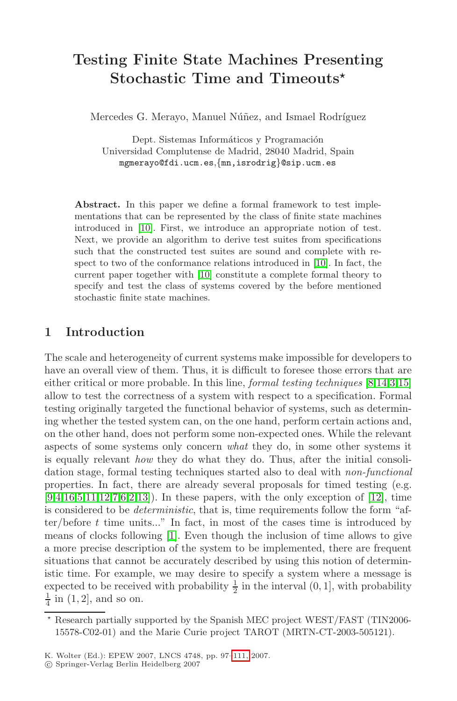# **Testing Finite State Machines Presenting Stochastic Time and Timeouts***-*

Mercedes G. Merayo, Manuel Núñez, and Ismael Rodríguez

Dept. Sistemas Informáticos y Programación Universidad Complutense de Madrid, 28040 Madrid, Spain mgmerayo@fdi.ucm.es,{m[n,i](#page-14-0)srodrig}@sip.ucm.es

**Abstract.** In this paper we define a formal framework to test implementations that can be represented by the class of finite state machines introduced in [10]. First, we introduce an appropriate notion of test. Next, we provide an algorithm to derive test suites from specifications such that the constructed test suites are sound and complete with respect to two of the conformance relations introduced in [10]. In fact, the current paper together with [10] constitute a complete formal theory to specify and test the class of systems covered [by](#page-14-1) [th](#page-14-2)[e](#page-14-3) [befo](#page-14-4)re mentioned stochastic finite state machines.

# **1 Introduction**

The scale and heterogeneity of current systems make impossible for developers to have an overall view of them. Thus, it is difficult to foresee those errors that are either critical or more probable. In this line, formal testing techniques [8,14,3,15] [a](#page-14-5)[llow](#page-14-6) to test the correctness of a system with respe[ct t](#page-14-7)o a specification. Formal testing originally targeted the functional behavior of systems, such as determining whether the tested system can, on the one hand, perform certain actions and, on the [oth](#page-14-8)er hand, does not perform some non-expected ones. While the relevant aspects of some systems only concern what they do, in some other systems it is equally relevant how they do what they do. Thus, after the initial consolidation stage, formal testing techniques started also to deal with non-functional properties. In fact, there are already several proposals for timed testing (e.g.  $[9,4,16,5,11,12,7,6,2,13]$ . In these papers, with the only exception of [12], time is considered to be deterministic, that is, time requirements follow the form "after/before  $t$  time units..." In fact, in most of the cases time is introduced by means of clocks following [1]. Even though the inclusion of time allows to give a more precise description of the system to be implemented, there are frequent situations that canno[t](#page-14-9) [be](#page-14-9) accurately described by using this notion of deterministic time. For example, we may desire to specify a system where a message is expected to be received with probability  $\frac{1}{2}$  in the interval  $(0, 1]$ , with probability  $\frac{1}{4}$  in  $(1, 2]$ , and so on.

 $\star$  Research partially supported by the Spanish MEC project WEST/FAST (TIN2006- 15578-C02-01) and the Marie Curie project TAROT (MRTN-CT-2003-505121).

K. Wolter (Ed.): EPEW 2007, LNCS 4748, pp. 97–111, 2007.

<sup>-</sup>c Springer-Verlag Berlin Heidelberg 2007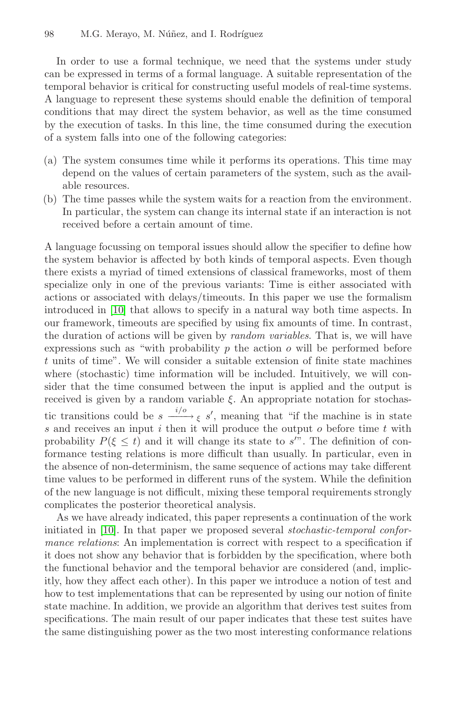In order to use a formal technique, we need that the systems under study can be expressed in terms of a formal language. A suitable representation of the temporal behavior is critical for constructing useful models of real-time systems. A language to represent these systems should enable the definition of temporal conditions that may direct the system behavior, as well as the time consumed by the execution of tasks. In this line, the time consumed during the execution of a system falls into one of the following categories:

- (a) The system consumes time while it performs its operations. This time may depend on the values of certain parameters of the system, such as the available resources.
- (b) The time passes while the system waits for a reaction from the environment. In particular, the system can change its internal state if an interaction is not received before a certain amount of time.

A language focussing on temporal issues should allow the specifier to define how the system behavior is affected by both kinds of temporal aspects. Even though there exists a myriad of timed extensions of classical frameworks, most of them specialize only in one of the previous variants: Time is either associated with actions or associated with delays/timeouts. In this paper we use the formalism introduced in [10] that allows to specify in a natural way both time aspects. In our framework, timeouts are specified by using fix amounts of time. In contrast, the duration of actions will be given by random variables. That is, we will have expressions such as "with probability  $p$  the action  $o$  will be performed before t units of time". We will consider a suitable extension of finite state machines where (stochastic) time information will be included. Intuitively, we will consider that the time consumed between the input is applied and the output is received is given by a random variable  $\xi$ . An appropriate notation for stochastic transitions could be  $s \xrightarrow{i/o} \xi s'$ , meaning that "if the machine is in state s and receives an input  $i$  then it will produce the output  $o$  before time  $t$  with probability  $P(\xi \leq t)$  and it will change its state to s'". The definition of conformance testing relations is more difficult than usually. In particular, even in the absence of non-determinism, the same sequence of actions may take different time values to be performed in different runs of the system. While the definition of the new language is not difficult, mixing these temporal requirements strongly complicates the posterior theoretical analysis.

As we have already indicated, this paper represents a continuation of the work initiated in [10]. In that paper we proposed several stochastic-temporal conformance relations: An implementation is correct with respect to a specification if it does not show any behavior that is forbidden by the specification, where both the functional behavior and the temporal behavior are considered (and, implicitly, how they affect each other). In this paper we introduce a notion of test and how to test implementations that can be represented by using our notion of finite state machine. In addition, we provide an algorithm that derives test suites from specifications. The main result of our paper indicates that these test suites have the same distinguishing power as the two most interesting conformance relations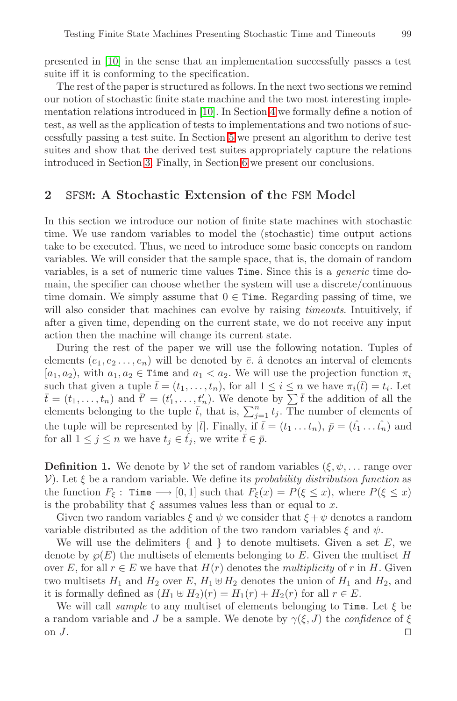pr[ese](#page-5-0)nted in [10] in the [se](#page-13-0)nse that an implementation successfully passes a test suite iff it is conforming to the specification.

The rest of the paper is structured as follows. In the next two sections we remind our notion of stochastic finite state machine and the two most interesting implementation relations introduced in [10]. In Section 4 we formally define a notion of test, as well as the application of tests to implementations and two notions of successfully passing a test suite. In Section 5 we present an algorithm to derive test suites and show that the derived test suites appropriately capture the relations introduced in Section 3. Finally, in Section 6 we present our conclusions.

## **2** SFSM**: A Stochastic Extension of the** FSM **Model**

In this section we introduce our notion of finite state machines with stochastic time. We use random variables to model the (stochastic) time output actions take to be executed. Thus, we need to introduce some basic concepts on random variables. We will consider that the sample space, that is, the domain of random variables, is a set of numeric time values Time. Since this is a *generic* time domain, the specifier can choose whether the system will use a discrete/continuous time domain. We simply assume that  $0 \in$  Time. Regarding passing of time, we will also consider that machines can evolve by raising *timeouts*. Intuitively, if after a given time, depending on the current state, we do not receive any input action then the machine will change its current state.

During the rest of the paper we will use the following notation. Tuples of elements  $(e_1, e_2, \ldots, e_n)$  will be denoted by  $\overline{e}$ .  $\hat{a}$  denotes an interval of elements  $[a_1, a_2)$ , with  $a_1, a_2 \in \text{Time}$  and  $a_1 < a_2$ . We will use the projection function  $\pi_i$ such that given a tuple  $\bar{t} = (t_1, \ldots, t_n)$ , for all  $1 \leq i \leq n$  we have  $\pi_i(\bar{t}) = t_i$ . Let  $\bar{t} = (t_1, \ldots, t_n)$  and  $\bar{t}' = (t'_1, \ldots, t'_n)$ . We denote by  $\sum \bar{t}$  the addition of all the elements belonging to the tuple  $\bar{t}$ , that is,  $\sum_{j=1}^{n} t_j$ . The number of elements of the tuple will be represented by  $|\bar{t}|$ . Finally, if  $\bar{t} = (t_1 \dots t_n)$ ,  $\bar{p} = (\hat{t_1} \dots \hat{t_n})$  and for all  $1 \leq j \leq n$  we have  $t_j \in \hat{t}_j$ , we write  $\bar{t} \in \bar{p}$ .

**Definition 1.** We denote by V the set of random variables  $(\xi, \psi, \dots)$  range over V). Let  $\xi$  be a random variable. We define its probability distribution function as the function  $F_{\xi}$ : Time  $\longrightarrow [0,1]$  such that  $F_{\xi}(x) = P(\xi \leq x)$ , where  $P(\xi \leq x)$ is the probability that  $\xi$  assumes values less than or equal to x.

Given two random variables  $\xi$  and  $\psi$  we consider that  $\xi + \psi$  denotes a random variable distributed as the addition of the two random variables  $\xi$  and  $\psi$ .

We will use the delimiters  $\{\,\,\text{and}\,\,\,\}\,\,\text{to}$  denote multisets. Given a set E, we denote by  $\wp(E)$  the multisets of elements belonging to E. Given the multiset H over E, for all  $r \in E$  we have that  $H(r)$  denotes the *multiplicity* of r in H. Given two multisets  $H_1$  and  $H_2$  over E,  $H_1 \oplus H_2$  denotes the union of  $H_1$  and  $H_2$ , and it is formally defined as  $(H_1 \oplus H_2)(r) = H_1(r) + H_2(r)$  for all  $r \in E$ .

We will call *sample* to any multiset of elements belonging to Time. Let  $\xi$  be a random variable and J be a sample. We denote by  $\gamma(\xi, J)$  the *confidence* of  $\xi$ on  $J$ .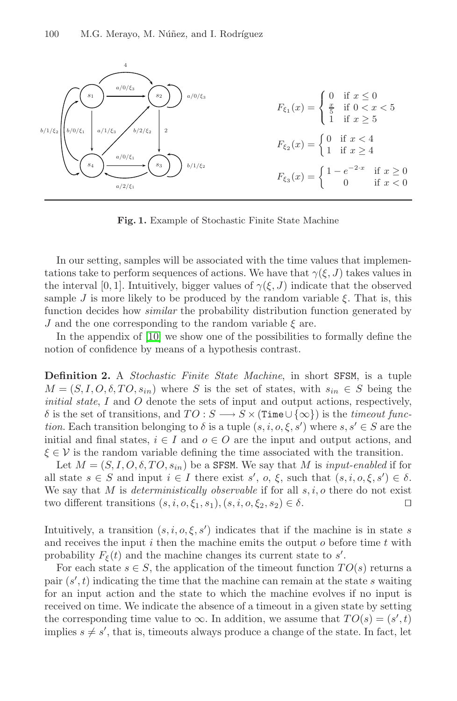<span id="page-3-0"></span>

**Fig. 1.** Example of Stochastic Finite State Machine

<span id="page-3-1"></span>In our setting, samples will be associated with the time values that implementations take to perform sequences of actions. We have that  $\gamma(\xi,J)$  takes values in the interval [0, 1]. Intuitively, bigger values of  $\gamma(\xi,J)$  indicate that the observed sample J is more likely to be produced by the random variable  $\xi$ . That is, this function decides how similar the probability distribution function generated by J and the one corresponding to the random variable  $\xi$  are.

In the appendix of [10] we show one of the possibilities to formally define the notion of confidence by means of a hypothesis contrast.

**Definition 2.** A Stochastic Finite State Machine, in short SFSM, is a tuple  $M = (S, I, O, \delta, TO, s_{in})$  where S is the set of states, with  $s_{in} \in S$  being the *initial state, I* and  $\overline{O}$  denote the sets of input and output actions, respectively,  $\delta$  is the set of transitions, and  $TO : S \longrightarrow S \times (\text{Time} \cup {\infty})$  is the timeout func*tion*. Each transition belonging to  $\delta$  is a tuple  $(s, i, o, \xi, s')$  where  $s, s' \in S$  are the initial and final states,  $i \in I$  and  $o \in O$  are the input and output actions, and  $\xi \in V$  is the random variable defining the time associated with the transition.

Let  $M = (S, I, O, \delta, TO, s_{in})$  be a SFSM. We say that M is input-enabled if for all state  $s \in S$  and input  $i \in I$  there exist  $s'$ ,  $o, \xi$ , such that  $(s, i, o, \xi, s') \in \delta$ . We say that M is *deterministically observable* if for all  $s, i, o$  there do not exist two different transitions  $(s, i, o, \xi_1, s_1), (s, i, o, \xi_2, s_2) \in \delta$ .

Intuitively, a transition  $(s, i, o, \xi, s')$  indicates that if the machine is in state s and receives the input i then the machine emits the output  $o$  before time t with probability  $F_{\xi}(t)$  and the machine changes its current state to s'.

For each state  $s \in S$ , the application of the timeout function  $TO(s)$  returns a pair  $(s', t)$  indicating the time that the machine can remain at the state s waiting for an input action and the state to which the machine evolves if no input is received on time. We indicate the absence of a timeout in a given state by setting the corresponding time value to  $\infty$ . In addition, we assume that  $TO(s) = (s', t)$ implies  $s \neq s'$ , that is, timeouts always produce a change of the state. In fact, let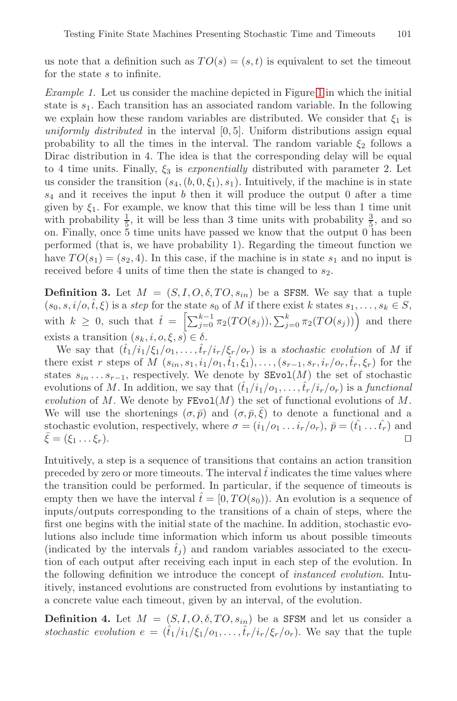us note that a definition such as  $TO(s)=(s, t)$  is equivalent to set the timeout for the state s to infinite.

Example 1. Let us consider the machine depicted in Figure 1 in which the initial state is  $s_1$ . Each transition has an associated random variable. In the following we explain how these random variables are distributed. We consider that  $\xi_1$  is uniformly distributed in the interval  $[0, 5]$ . Uniform distributions assign equal probability to all the times in the interval. The random variable  $\xi_2$  follows a Dirac distribution in 4. The idea is that the corresponding delay will be equal to 4 time units. Finally,  $\xi_3$  is exponentially distributed with parameter 2. Let us consider the transition  $(s_4,(b, 0, \xi_1), s_1)$ . Intuitively, if the machine is in state  $s_4$  and it receives the input b then it will produce the output 0 after a time given by  $\xi_1$ . For example, we know that this time will be less than 1 time unit with probability  $\frac{1}{5}$ , it will be less than 3 time units with probability  $\frac{3}{5}$ , and so on. Finally, once  $5$  time units have passed we know that the output  $0$  has been performed (that is, we have probability 1). Regarding the timeout function we have  $TO(s_1)=(s_2, 4)$ . In this case, if the machine is in state  $s_1$  and no input is received before 4 units of time then the state is changed to  $s_2$ .

**Definition 3.** Let  $M = (S, I, O, \delta, TO, s_{in})$  be a SFSM. We say that a tuple  $(s_0, s, i/o, \hat{t}, \xi)$  is a step for the state  $s_0$  of M if there exist k states  $s_1, \ldots, s_k \in S$ , with  $k \geq 0$ , such that  $\hat{t} = \left[ \sum_{j=0}^{k-1} \pi_2(TO(s_j)), \sum_{j=0}^k \pi_2(TO(s_j)) \right]$  and there exists a transition  $(s_k, i, o, \xi, s) \in \delta$ .

We say that  $(\hat{t}_1/i_1/\xi_1/\sigma_1,\ldots,\hat{t}_r/i_r/\xi_r/\sigma_r)$  is a stochastic evolution of M if there exist r steps of  $M(s_{in}, s_1, i_1/o_1, \hat{t}_1, \xi_1), \ldots, (s_{r-1}, s_r, i_r/o_r, \hat{t}_r, \xi_r)$  for the states  $s_{in} \ldots s_{r-1}$ , respectively. We denote by  $\texttt{SEvol}(M)$  the set of stochastic evolutions of M. In addition, we say that  $(\hat{t}_1/i_1/o_1,\ldots,\hat{t}_r/i_r/o_r)$  is a functional evolution of M. We denote by  $\text{FEvol}(M)$  the set of functional evolutions of M. We will use the shortenings  $(\sigma, \bar{p})$  and  $(\sigma, \bar{p}, \bar{\xi})$  to denote a functional and a stochastic evolution, respectively, where  $\sigma = (i_1/o_1 \dots i_r/o_r)$ ,  $\bar{p} = (\hat{t}_1 \dots \hat{t}_r)$  and  $\bar{\xi} = (\xi_1 \dots \xi_r)$ .

Intuitively, a step is a sequence of transitions that contains an action transition preceded by zero or more timeouts. The interval  $\hat{t}$  indicates the time values where the transition could be performed. In particular, if the sequence of timeouts is empty then we have the interval  $\hat{t} = [0, TO(s_0))$ . An evolution is a sequence of inputs/outputs corresponding to the transitions of a chain of steps, where the first one begins with the initial state of the machine. In addition, stochastic evolutions also include time information which inform us about possible timeouts (indicated by the intervals  $\hat{t}_j$ ) and random variables associated to the execution of each output after receiving each input in each step of the evolution. In the following definition we introduce the concept of instanced evolution. Intuitively, instanced evolutions are constructed from evolutions by instantiating to a concrete value each timeout, given by an interval, of the evolution.

**Definition 4.** Let  $M = (S, I, O, \delta, TO, s_{in})$  be a SFSM and let us consider a stochastic evolution  $e = (\hat{t}_1/i_1/\xi_1/\delta_1,\ldots,\hat{t}_r/i_r/\xi_r/\delta_r)$ . We say that the tuple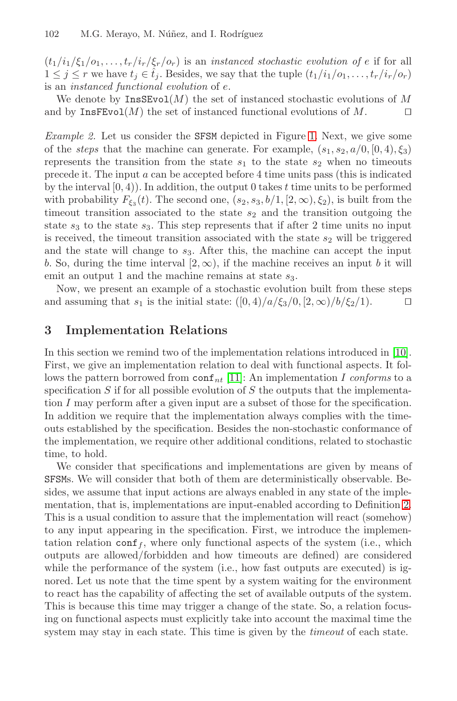#### 102 M.G. Merayo, M. Núñez, and I. [Ro](#page-3-0)dríguez

 $(t_1/i_1/\xi_1/\sigma_1,\ldots,t_r/i_r/\xi_r/\sigma_r)$  is an instanced stochastic evolution of e if for all  $1 \leq j \leq r$  we have  $t_j \in \hat{t}_j$ . Besides, we say that the tuple  $(t_1/i_1/o_1,\ldots,t_r/i_r/o_r)$ is an instanced functional evolution of e.

We denote by  $\text{InsSEvol}(M)$  the set of instanced stochastic evolutions of M and by  $\text{InsFEvol}(M)$  the set of instanced functional evolutions of M.

Example 2. Let us consider the SFSM depicted in Figure 1. Next, we give some of the *steps* that the machine can generate. For example,  $(s_1, s_2, a/0, [0, 4), \xi_3)$ represents the transition from the state  $s_1$  to the state  $s_2$  when no timeouts precede it. The input a can be accepted before 4 time units pass (this is indicated by the interval  $[0, 4)$ ). In addition, the output 0 takes t time units to be performed with probability  $F_{\xi_3}(t)$ . The second one,  $(s_2, s_3, b/1, [2, \infty), \xi_2)$ , is built from the timeout transition associated to the state  $s_2$  and the transition outgoing the state  $s_3$  to the state  $s_3$ . This step represents that if after 2 time units no input is received, the timeout transition associated with the state  $s_2$  will be triggered and the state will change to  $s_3$ . After this, the machin[e ca](#page-14-0)n accept the input b. So, during the time interval  $[2, \infty)$ , if the machine receives an input b it will emit an output 1 an[d th](#page-14-10)e machine remains at state  $s_3$ .

<span id="page-5-0"></span>Now, we present an example of a stochastic evolution built from these steps and assuming that  $s_1$  is the initial state:  $([0,4)/a/\xi_3/0, [2,\infty)/b/\xi_2/1$ .

## **3 Implementation Relations**

In this section we remind two of the implementation relations introduced in [10]. First, we give an implementation relation to deal with functional aspects. It follows the pattern borrowed from  $\text{conf}_{nt}$  [11]: An implementation I conforms to a specification  $S$  if for all possible evolution of  $S$  the outputs that the implementation I may perform after a given input are a subset of thos[e fo](#page-3-1)r the specification. In addition we require that the implementation always complies with the timeouts established by the specification. Besides the non-stochastic conformance of the implementation, we require other additional conditions, related to stochastic time, to hold.

We consider that specifications and implementations are given by means of SFSMs. We will consider that both of them are deterministically observable. Besides, we assume that input actions are always enabled in any state of the implementation, that is, implementations are input-enabled according to Definition 2. This is a usual condition to assure that the implementation will react (somehow) to any input appearing in the specification. First, we introduce the implementation relation conf<sub>f</sub>, where only functional aspects of the system (i.e., which outputs are allowed/forbidden and how timeouts are defined) are considered while the performance of the system (i.e., how fast outputs are executed) is ignored. Let us note that the time spent by a system waiting for the environment to react has the capability of affecting the set of available outputs of the system. This is because this time may trigger a change of the state. So, a relation focusing on functional aspects must explicitly take into account the maximal time the system may stay in each state. This time is given by the *timeout* of each state.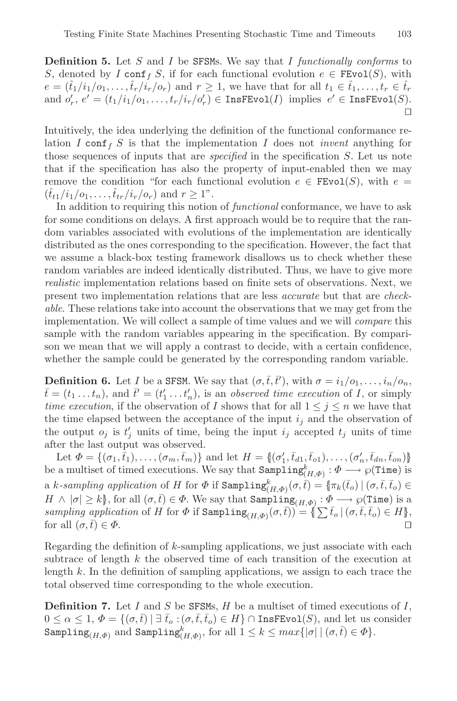**Definition 5.** Let S and I be SFSMs. We say that I functionally conforms to S, denoted by I conf<sub>f</sub> S, if for each functional evolution  $e \in \text{FFvol}(S)$ , with  $e = (\hat{t}_1/i_1/o_1,\ldots,\hat{t}_r/i_r/o_r)$  and  $r \geq 1$ , we have that for all  $t_1 \in \hat{t}_1,\ldots,t_r \in \hat{t}_r$ and  $o'_r$ ,  $e' = (t_1/i_1/o_1, \ldots, t_r/i_r/o'_r) \in \texttt{InsFEvol}(I)$  implies  $e' \in \texttt{InsFEvol}(S)$ .  $\Box$ 

Intuitively, the idea underlying the definition of the functional conformance relation I conf<sub>f</sub> S is that the implementation I does not *invent* anything for those sequences of inputs that are *specified* in the specification S. Let us note that if the specification has also the property of input-enabled then we may remove the condition "for each functional evolution  $e \in FEvol(S)$ , with  $e =$  $(\hat{t}_{t1}/i_1/o_1, \ldots, \hat{t}_{tr}/i_r/o_r)$  and  $r \geq 1$ ".

In addition to requiring this notion of *functional* conformance, we have to ask for some conditions on delays. A first approach would be to require that the random variables associated with evolutions of the implementation are identically distributed as the ones corresponding to the specification. However, the fact that we assume a black-box testing framework disallows us to check whether these random variables are indeed identically distributed. Thus, we have to give more realistic implementation relations based on finite sets of observations. Next, we present two implementation relations that are less accurate but that are checkable. These relations take into account the observations that we may get from the implementation. We will collect a sample of time values and we will compare this sample with the random variables appearing in the specification. By comparison we mean that we will apply a contrast to decide, with a certain confidence, whether the sample could be generated by the corresponding random variable.

**Definition 6.** Let *I* be a SFSM. We say that  $(\sigma, \bar{t}, \bar{t}')$ , with  $\sigma = i_1/o_1, \ldots, i_n/o_n$ ,  $\bar{t} = (t_1 \dots t_n)$ , and  $\bar{t}' = (t'_1 \dots t'_n)$ , is an observed time execution of I, or simply time execution, if the observation of I shows that for all  $1 \leq j \leq n$  we have that the time elapsed between the acceptance of the input  $i_j$  and the observation of the output  $o_j$  is  $t'_j$  units of time, being the input  $i_j$  accepted  $t_j$  units of time after the last output was observed.

Let  $\Phi = \{(\sigma_1, \bar{t}_1), \ldots, (\sigma_m, \bar{t}_m)\}\$ and let  $H = \{(\sigma'_1, \bar{t}_{d1}, \bar{t}_{d1}), \ldots, (\sigma'_n, \bar{t}_{dn}, \bar{t}_{dn})\}\$ be a multiset of timed executions. We say that  $\texttt{Sampling}^k_{(H, \Phi)} : \Phi \longrightarrow \wp(\texttt{Time})$  is a *k*-sampling application of H for  $\Phi$  if  $\texttt{Sampling}^k_{(H, \Phi)}(\sigma, \bar{t}) = \{\pi_k(\bar{t}_o) \ | \ (\sigma, \bar{t}, \bar{t}_o) \in$  $H \wedge |\sigma| \geq k$ , for all  $(\sigma, \overline{t}) \in \Phi$ . We say that  $\text{Sampling}_{(H, \Phi)} : \Phi \longrightarrow \wp(\text{Time})$  is a sampling application of H for  $\Phi$  if  $\text{Sampling}_{(H,\Phi)}(\sigma,\bar{t}) = \{\sum \bar{t}_o \mid (\sigma,\bar{t},\bar{t}_o) \in H\},\}$ for all  $(\sigma, \bar{t}) \in \Phi$ .  $\overline{t}) \in \Phi.$ 

Regarding the definition of  $k$ -sampling applications, we just associate with each subtrace of length  $k$  the observed time of each transition of the execution at length  $k$ . In the definition of sampling applications, we assign to each trace the total observed time corresponding to the whole execution.

**Definition 7.** Let I and S be SFSMs,  $H$  be a multiset of timed executions of  $I$ ,  $0 \leq \alpha \leq 1, \, \Phi = \{(\sigma, \bar{t}) \mid \exists \, \bar{t}_o : (\sigma, \bar{t}, \bar{t}_o) \in H\} \cap \text{InsFEvol}(S)$ , and let us consider  $\texttt{Sampling}_{(H,\Phi)} \text{ and } \texttt{Sampling}_{(H,\Phi)}^k, \text{ for all } 1 \leq k \leq max\{|\sigma| \mid (\sigma,\bar{t}) \in \Phi\}.$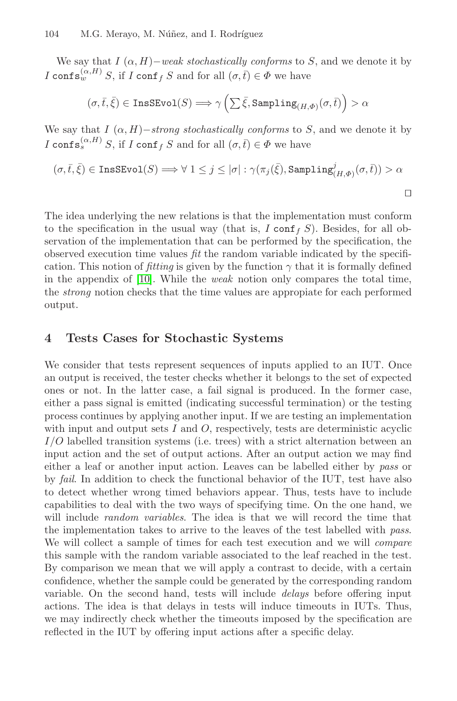We say that  $I(\alpha, H)$  – weak stochastically conforms to S, and we denote it by I configmally  $S$ , if I configurate  $I \text{ conf}_I$  is and for all  $(\sigma, \bar{t}) \in \Phi$  we have

$$
(\sigma,\bar t,\bar\xi)\in\mathrm{InsSEvol}(S)\Longrightarrow\gamma\left(\sum\bar\xi,\mathrm{Sampling}_{(H,\varPhi)}(\sigma,\bar t)\right)>\alpha
$$

We say that  $I(\alpha, H)$ –strong stochastically conforms to S, and we denote it by I configmation  $I \text{ conf}_S$  if  $I \text{ conf}_f S$  and for all  $(\sigma, \bar{t}) \in \Phi$  we have

$$
(\sigma,\bar t,\bar\xi)\in\mathrm{InsSEvol}(S)\Longrightarrow \forall\ 1\leq j\leq |\sigma|: \gamma(\pi_j(\bar\xi),\mathrm{Sampling}_{(H,\varPhi)}^j(\sigma,\bar t))>\alpha
$$

The idea underlying the new relations is that the implementation must conform to the specification in the usual way (that is,  $I \text{ conf}_f S$ ). Besides, for all observation of the implementation that can be performed by the specification, the observed execution time values  $fit$  the random variable indicated by the specification. This notion of fitting is given by the function  $\gamma$  that it is formally defined in the appendix of [10]. While the weak notion only compares the total time, the strong notion checks that the time values are appropiate for each performed output.

# **4 Tests Cases for Stochastic Systems**

We consider that tests represent sequences of inputs applied to an IUT. Once an output is received, the tester checks whether it belongs to the set of expected ones or not. In the latter case, a fail signal is produced. In the former case, either a pass signal is emitted (indicating successful termination) or the testing process continues by applying another input. If we are testing an implementation with input and output sets  $I$  and  $O$ , respectively, tests are deterministic acyclic  $I/O$  labelled transition systems (i.e. trees) with a strict alternation between an input action and the set of output actions. After an output action we may find either a leaf or another input action. Leaves can be labelled either by pass or by fail. In addition to check the functional behavior of the IUT, test have also to detect whether wrong timed behaviors appear. Thus, tests have to include capabilities to deal with the two ways of specifying time. On the one hand, we will include *random variables*. The idea is that we will record the time that the implementation takes to arrive to the leaves of the test labelled with pass. We will collect a sample of times for each test execution and we will compare this sample with the random variable associated to the leaf reached in the test. By comparison we mean that we will apply a contrast to decide, with a certain confidence, whether the sample could be generated by the corresponding random variable. On the second hand, tests will include delays before offering input actions. The idea is that delays in tests will induce timeouts in IUTs. Thus, we may indirectly check whether the timeouts imposed by the specification are reflected in the IUT by offering input actions after a specific delay.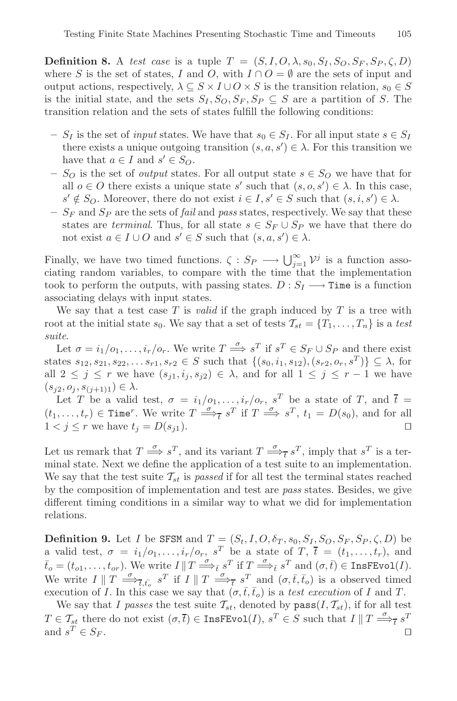**Definition 8.** A test case is a tuple  $T = (S, I, O, \lambda, s_0, S_I, S_O, S_F, S_P, \zeta, D)$ where S is the set of states, I and O, with  $I \cap O = \emptyset$  are the sets of input and output actions, respectively,  $\lambda \subseteq S \times I \cup O \times S$  is the transition relation,  $s_0 \in S$ is the initial state, and the sets  $S_I$ ,  $S_O$ ,  $S_F$ ,  $S_P \subseteq S$  are a partition of S. The transition relation and the sets of states fulfill the following conditions:

- $S_I$  is the set of *input* states. We have that  $s_0 \in S_I$ . For all input state  $s \in S_I$ there exists a unique outgoing transition  $(s, a, s') \in \lambda$ . For this transition we have that  $a \in I$  and  $s' \in S_O$ .
- $S_O$  is the set of *output* states. For all output state  $s \in S_O$  we have that for all  $o \in O$  there exists a unique state s' such that  $(s, o, s') \in \lambda$ . In this case,  $s' \notin S_O$ . Moreover, there do not exist  $i \in I, s' \in S$  such that  $(s, i, s') \in \lambda$ .
- $S_F$  and  $S_P$  are the sets of *fail* and *pass* states, respectively. We say that these states are terminal. Thus, for all state  $s \in S_F \cup S_P$  we have that there do not exist  $a \in I \cup O$  and  $s' \in S$  such that  $(s, a, s') \in \lambda$ .

Finally, we have two timed functions.  $\zeta : S_P \longrightarrow \bigcup_{j=1}^{\infty} \mathcal{V}^j$  is a function associating random variables, to compare with the time that the implementation took to perform the outputs, with passing states.  $D: S_I \longrightarrow$  Time is a function associating delays with input states.

We say that a test case T is *valid* if the graph induced by T is a tree with root at the initial state  $s_0$ . We say that a set of tests  $\mathcal{T}_{st} = \{T_1, \ldots, T_n\}$  is a test suite.

Let  $\sigma = i_1/o_1, \ldots, i_r/o_r$ . We write  $T \stackrel{\sigma}{\Longrightarrow} s^T$  if  $s^T \in S_F \cup S_P$  and there exist states  $s_{12}, s_{21}, s_{22}, \ldots s_{r1}, s_{r2} \in S$  such that  $\{(s_0, i_1, s_{12}), (s_{r2}, o_r, s^T)\} \subseteq \lambda$ , for all  $2 \leq j \leq r$  we have  $(s_{i1}, i_j, s_{i2}) \in \lambda$ , and for all  $1 \leq j \leq r-1$  we have  $(s_{j2}, o_j, s_{(j+1)1}) \in \lambda$ .

Let T be a valid test,  $\sigma = i_1/0_1, \ldots, i_r/0_r$ ,  $s^T$  be a state of T, and  $\bar{t} =$  $(t_1,\ldots,t_r) \in \text{Time}^r$ . We write  $T \stackrel{\sigma}{\Longrightarrow}_t s^T$  if  $T \stackrel{\sigma}{\Longrightarrow} s^T$ ,  $t_1 = D(s_0)$ , and for all  $1 < j \leq r$  we have  $t_j = D(s_{j1}).$ 

Let us remark that  $T \stackrel{\sigma}{\Longrightarrow} s^T$ , and its variant  $T \stackrel{\sigma}{\Longrightarrow}_{\overline{t}} s^T$ , imply that  $s^T$  is a terminal state. Next we define the application of a test suite to an implementation. We say that the test suite  $\mathcal{T}_{st}$  is passed if for all test the terminal states reached by the composition of implementation and test are pass states. Besides, we give different timing conditions in a similar way to what we did for implementation relations.

**Definition 9.** Let I be SFSM and  $T = (S_t, I, O, \delta_T, s_0, S_I, S_O, S_F, S_P, \zeta, D)$  be a valid test,  $\sigma = i_1/0_1, \ldots, i_r/0_r$ ,  $s^T$  be a state of T,  $\overline{t} = (t_1, \ldots, t_r)$ , and  $\bar{t}_o = (t_{o1}, \ldots, t_{or}).$  We write  $I \parallel T \stackrel{\sigma}{\Longrightarrow}_{\bar{t}} s^T$  if  $T \stackrel{\sigma}{\Longrightarrow}_{\bar{t}} s^T$  and  $(\sigma, \bar{t}) \in \texttt{InsFEvol}(I)$ . We write  $I \parallel T \stackrel{\sigma}{\Longrightarrow}_{\overline{t},\overline{t}_o} s^T$  if  $I \parallel T \stackrel{\sigma}{\Longrightarrow}_{\overline{t}} s^T$  and  $(\sigma,\overline{t},\overline{t}_o)$  is a observed timed execution of I. In this case we say that  $(\sigma, \bar{t}, \bar{t}_o)$  is a test execution of I and T.

We say that I passes the test suite  $\mathcal{T}_{st}$ , denoted by  $\text{pass}(I, \mathcal{T}_{st})$ , if for all test  $T \in \mathcal{T}_{st}$  there do not exist  $(\sigma, \overline{t}) \in \text{InsFEvol}(I), s^T \in S$  such that  $I \parallel T \stackrel{\sigma}{\Longrightarrow}_{\overline{t}} s^T$ and  $s^T \in S_F$ .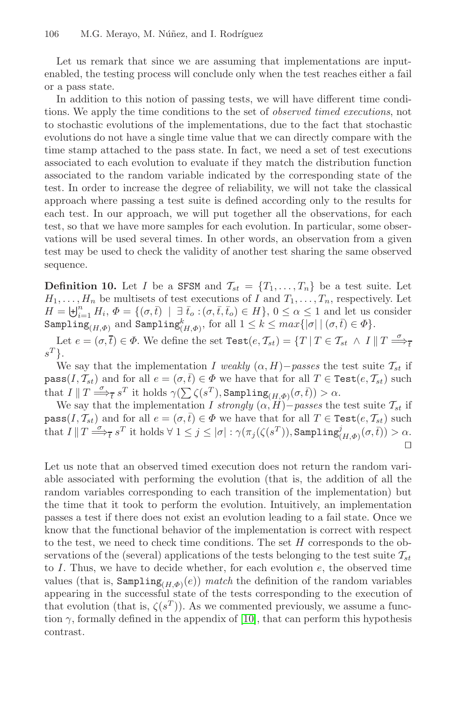Let us remark that since we are assuming that implementations are inputenabled, the testing process will conclude only when the test reaches either a fail or a pass state.

In addition to this notion of passing tests, we will have different time conditions. We apply the time conditions to the set of observed timed executions, not to stochastic evolutions of the implementations, due to the fact that stochastic evolutions do not have a single time value that we can directly compare with the time stamp attached to the pass state. In fact, we need a set of test executions associated to each evolution to evaluate if they match the distribution function associated to the random variable indicated by the corresponding state of the test. In order to increase the degree of reliability, we will not take the classical approach where passing a test suite is defined according only to the results for each test. In our approach, we will put together all the observations, for each test, so that we have more samples for each evolution. In particular, some observations will be used several times. In other words, an observation from a given test may be used to check the validity of another test sharing the same observed sequence.

**Definition 10.** Let I be a SFSM and  $\mathcal{T}_{st} = \{T_1, \ldots, T_n\}$  be a test suite. Let  $H_1,\ldots,H_n$  be multisets of test executions of I and  $T_1,\ldots,T_n$ , respectively. Let  $H = \biguplus_{i=1}^{n} H_i, \, \Phi = \{(\sigma, \bar{t}) \mid \exists \bar{t}_o : (\sigma, \bar{t}, \bar{t}_o) \in H\}, \, 0 \leq \alpha \leq 1 \text{ and let us consider }$  $\texttt{Sampling}_{(H, \Phi)}$  and  $\texttt{Sampling}_{(H, \Phi)}^k$ , for all  $1 \leq k \leq max\{|\sigma| \mid (\sigma, \overline{t}) \in \Phi\}.$ 

Let  $e = (\sigma, \overline{t}) \in \Phi$ . We define the set  $\text{Test}(e, \mathcal{T}_{st}) = \{T \mid T \in \mathcal{T}_{st} \land I \parallel T \stackrel{\sigma}{\Longrightarrow}_{\overline{t}}$  $s^T$ .

We say that the implementation I weakly  $(\alpha, H)$ −passes the test suite  $\mathcal{T}_{st}$  if  $\texttt{pass}(I, \mathcal{T}_{st})$  and for all  $e = (\sigma, \bar{t}) \in \Phi$  we have that for all  $T \in \texttt{Test}(e, \mathcal{T}_{st})$  such that  $I \parallel T \stackrel{\sigma}{\Longrightarrow}_{\overline{t}} s^T$  it holds  $\gamma(\sum \zeta(s^T),$  Sampling<sub> $(H, \Phi)(\sigma, \overline{t})) > \alpha$ .</sub>

We say that the implementation I strongly  $(\alpha, H)$ −passes the test suite  $\mathcal{T}_{st}$  if  $\texttt{pass}(I, \mathcal{T}_{st})$  and for all  $e = (\sigma, \bar{t}) \in \Phi$  we have that for all  $T \in \texttt{Test}(e, \mathcal{T}_{st})$  such  $\text{that } I \, \| \, T \stackrel{\sigma}{\Longrightarrow}_{\overline{t}} s^T \text{ it holds } \forall \, 1 \leq j \leq |\sigma| : \gamma(\pi_j(\zeta(s^T)), \text{Sampling}_{(H,\Phi)}^j(\sigma,\overline{t})) > \alpha.$  $\Box$ 

Let us note that an observed timed execution does not return the random variable associated with performing the evolution (that is, the addition of all the random variables corresponding to each transition of the implementation) but the time that it took to perform the evolution. Intuitively, an implementation passes a test if there do[es n](#page-14-0)ot exist an evolution leading to a fail state. Once we know that the functional behavior of the implementation is correct with respect to the test, we need to check time conditions. The set H corresponds to the observations of the (several) applications of the tests belonging to the test suite  $\mathcal{T}_{st}$ to  $I$ . Thus, we have to decide whether, for each evolution  $e$ , the observed time values (that is,  $\texttt{Sampling}_{(H,\Phi)}(e)$ ) match the definition of the random variables appearing in the successful state of the tests corresponding to the execution of that evolution (that is,  $\zeta(s^T)$ ). As we commented previously, we assume a function  $\gamma$ , formally defined in the appendix of [10], that can perform this hypothesis contrast.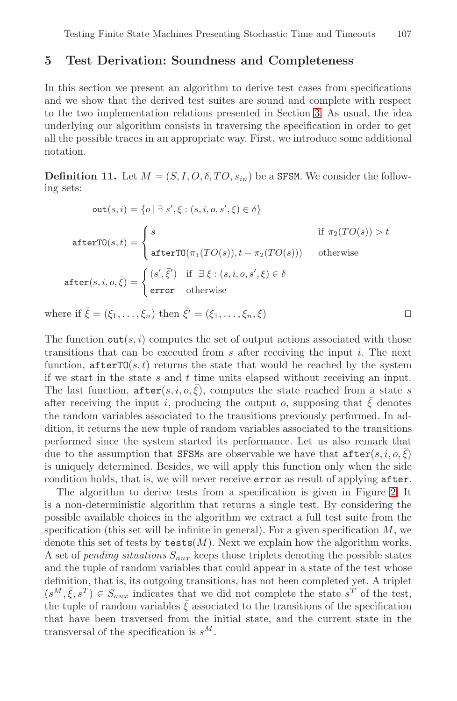## <span id="page-10-0"></span>**5 Test Derivation: Soundness and Completeness**

In this section we present an algorithm to derive test cases from specifications and we show that the derived test suites are sound and complete with respect to the two implementation relations presented in Section 3. As usual, the idea underlying our algorithm consists in traversing the specification in order to get all the possible traces in an appropriate way. First, we introduce some additional notation.

**Definition 11.** Let  $M = (S, I, O, \delta, TO, s_{in})$  be a SFSM. We consider the following sets:

$$
out(s, i) = \{o \mid \exists s', \xi : (s, i, o, s', \xi) \in \delta\}
$$
  
afterTO(s, t) = 
$$
\begin{cases} s & \text{if } \pi_2(TO(s)) > t \\ \text{afterTO}(\pi_1(TO(s)), t - \pi_2(TO(s))) & \text{otherwise} \end{cases}
$$
  
after(s, i, o,  $\bar{\xi}$ ) = 
$$
\begin{cases} (s', \bar{\xi}') & \text{if } \exists \xi : (s, i, o, s', \xi) \in \delta \\ \text{error} & \text{otherwise} \end{cases}
$$

where if  $\bar{\xi} = (\xi_1, \ldots, \xi_n)$  then  $\bar{\xi}' = (\xi_1, \ldots, \xi_n, \xi)$ 

The function  $\text{out}(s, i)$  computes the set of output actions associated with those transitions that can be executed from  $s$  after receiving the input  $i$ . The next function,  $\texttt{afterTO}(s, t)$  returns the state that would be reached by the system if we start in the state  $s$  and  $t$  time units elapsed without receiving an input. The last function,  $\texttt{after}(s, i, o, \xi)$ , computes the state [re](#page-11-0)ached from a state s after receiving the input i, producing the output o, supposing that  $\xi$  denotes the random variables associated to the transitions previously performed. In addition, it returns the new tuple of random variables associated to the transitions performed since the system started its performance. Let us also remark that due to the assumption that SFSMs are observable we have that  $\texttt{after}(s, i, o, \overline{\xi})$ is uniquely determined. Besides, we will apply this function only when the side condition holds, that is, we will never receive error as result of applying after.

The algorithm to derive tests from a specification is given in Figure 2. It is a non-deterministic algorithm that returns a single test. By considering the possible available choices in the algorithm we extract a full test suite from the specification (this set will be infinite in general). For a given specification  $M$ , we denote this set of tests by  $\texttt{tests}(M)$ . Next we explain how the algorithm works. A set of *pending situations*  $S_{aux}$  keeps those triplets denoting the possible states and the tuple of random variables that could appear in a state of the test whose definition, that is, its outgoing transitions, has not been completed yet. A triplet  $(s^M, \bar{\xi}, s^T) \in S_{aux}$  indicates that we did not complete the state  $s^T$  of the test, the tuple of random variables  $\bar{\xi}$  associated to the transitions of the specification that have been traversed from the initial state, and the current state in the transversal of the specification is  $s^M$ .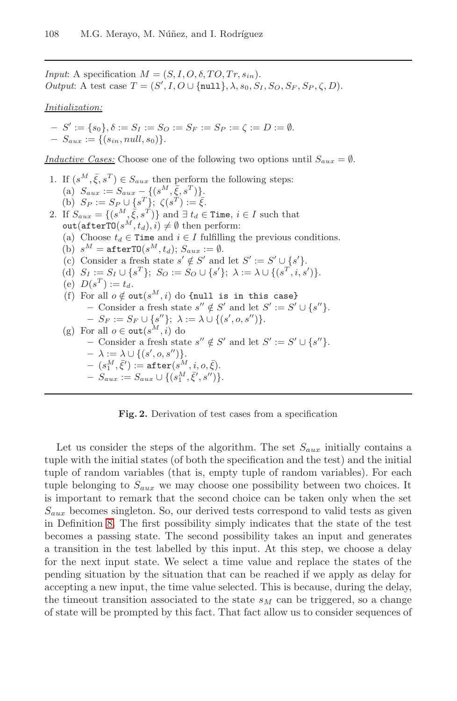*Input*: A specification  $M = (S, I, O, \delta, TO, Tr, s_{in}).$ Output: A test case  $T = (S', I, O \cup \{\text{null}\}, \lambda, s_0, S_I, S_O, S_F, S_P, \zeta, D).$ 

Initialization:

$$
- S' := \{s_0\}, \delta := S_I := S_O := S_F := S_P := \zeta := D := \emptyset.
$$
  

$$
- S_{aux} := \{(s_{in}, null, s_0)\}.
$$

Inductive Cases: Choose one of the following two options until  $S_{aux} = \emptyset$ .

1. If  $(s^M, \bar{\xi}, s^T) \in S_{aux}$  then perform the following steps: (a)  $S_{aux} := S_{aux} - \{(s^M, \overline{\xi}, s^T)\}.$ (b)  $S_P := S_P \cup \{s^T\}; \ \zeta(s^T) := \overline{\xi}.$ 2. If  $S_{aux} = \{(s^M, \overline{\xi}, s^T)\}\$  and  $\exists t_d \in \texttt{Time}, i \in I$  such that out(afterTO $(s^M, t_d), i) \neq \emptyset$  then perform: (a) Choose  $t_d \in \texttt{Time}$  and  $i \in I$  fulfilling the previous conditions. (b)  $s^M = \text{afterTO}(s^M, t_d); S_{aux} := \emptyset.$ (c) Consider a fresh state  $s' \notin S'$  and let  $S' := S' \cup \{s'\}.$ (d)  $S_I := S_I \cup \{s^T\}; S_O := S_O \cup \{s'\}; \lambda := \lambda \cup \{(s^T, i, s')\}.$ (e)  $D(s^T) := t_d$ . (f) For all  $o \notin \texttt{out}(s^M, i)$  do {null is in this case} **−** Consider a fresh state  $s'' \notin S'$  and let  $S' := S' \cup \{s''\}.$  $- S_F := S_F \cup \{s''\}; \ \lambda := \lambda \cup \{(s', o, s'')\}.$ (g) For all  $o \in \text{out}(s^M, i)$  do **−** Consider a fresh state  $s'' \notin S'$  and let  $S' := S' \cup \{s''\}.$  $- \lambda := \lambda \cup \{(s', o, s'')\}.$  $- \,\, (s_1^M, \bar{\xi}') := \mathtt{after}(s^M, i, o, \bar{\xi}).$  $- S_{aux} := S_{aux} \cup \{(s_1^M, \bar{\xi}', s'')\}.$ 

**Fig. 2.** Derivation of test cases from a specification

<span id="page-11-0"></span>Let us consider the steps of the algorithm. The set  $S_{aux}$  initially contains a tuple with the initial states (of both the specification and the test) and the initial tuple of random variables (that is, empty tuple of random variables). For each tuple belonging to  $S_{aux}$  we may choose one possibility between two choices. It is important to remark that the second choice can be taken only when the set  $S_{aux}$  becomes singleton. So, our derived tests correspond to valid tests as given in Definition 8. The first possibility simply indicates that the state of the test becomes a passing state. The second possibility takes an input and generates a transition in the test labelled by this input. At this step, we choose a delay for the next input state. We select a time value and replace the states of the pending situation by the situation that can be reached if we apply as delay for accepting a new input, the time value selected. This is because, during the delay, the timeout transition associated to the state  $s_M$  can be triggered, so a change of state will be prompted by this fact. That fact allow us to consider sequences of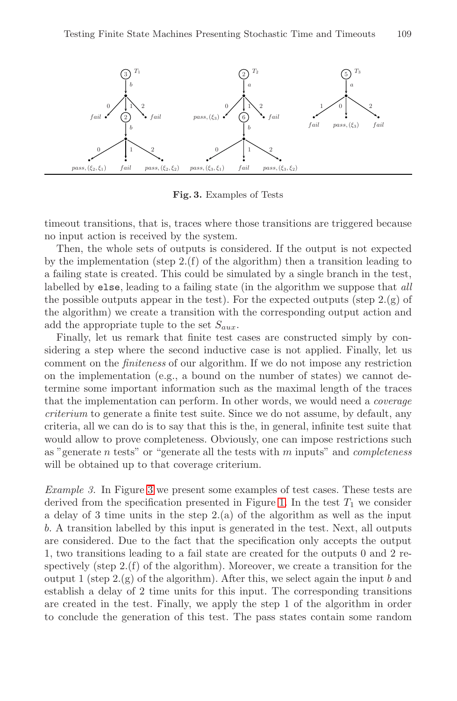<span id="page-12-0"></span>

**Fig. 3.** Examples of Tests

timeout transitions, that is, traces where those transitions are triggered because no input action is received by the system.

Then, the whole sets of outputs is considered. If the output is not expected by the implementation (step 2.(f) of the algorithm) then a transition leading to a failing state is created. This could be simulated by a single branch in the test, labelled by else, leading to a failing state (in the algorithm we suppose that all the possible outputs appear in the test). For the expected outputs (step  $2.(g)$  of the algorithm) we create a transition with the corresponding output action and add the appropriate tuple to the set  $S_{aux}$ .

Finally, let us remark that finite test cases are constructed simply by considering a step where the second inductive case is not applied. Finally, let us comment on the finiteness of our algorithm. If we do not impose any restriction on the implementation (e.g., a bound on the number of states) we cannot deter[mi](#page-12-0)ne some important information such as the maximal length of the traces that the implementation can pe[rfo](#page-3-0)rm. In other words, we would need a coverage criterium to generate a finite test suite. Since we do not assume, by default, any criteria, all we can do is to say that this is the, in general, infinite test suite that would allow to prove completeness. Obviously, one can impose restrictions such as "generate  $n$  tests" or "generate all the tests with  $m$  inputs" and *completeness* will be obtained up to that coverage criterium.

Example 3. In Figure 3 we present some examples of test cases. These tests are derived from the specification presented in Figure 1. In the test  $T_1$  we consider a delay of 3 time units in the step 2.(a) of the algorithm as well as the input b. A transition labelled by this input is generated in the test. Next, all outputs are considered. Due to the fact that the specification only accepts the output 1, two transitions leading to a fail state are created for the outputs 0 and 2 respectively (step  $2(f)$  of the algorithm). Moreover, we create a transition for the output 1 (step  $2(g)$  of the algorithm). After this, we select again the input b and establish a delay of 2 time units for this input. The corresponding transitions are created in the test. Finally, we apply the step 1 of the algorithm in order to conclude the generation of this test. The pass states contain some random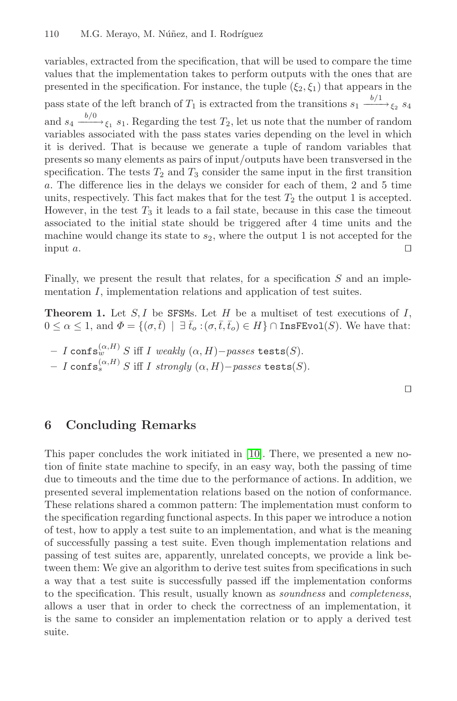variables, extracted from the specification, that will be used to compare the time values that the implementation takes to perform outputs with the ones that are presented in the specification. For instance, the tuple  $(\xi_2, \xi_1)$  that appears in the pass state of the left branch of  $T_1$  is extracted from the transitions  $s_1 \xrightarrow{b/1} \xi_2$   $s_4$ and  $s_4 \xrightarrow{b/0} \xi_1$   $s_1$ . Regarding the test  $T_2$ , let us note that the number of random variables associated with the pass states varies depending on the level in which it is derived. That is because we generate a tuple of random variables that presents so many elements as pairs of input/outputs have been transversed in the specification. The tests  $T_2$  and  $T_3$  consider the same input in the first transition a. The difference lies in the delays we consider for each of them, 2 and 5 time units, respectively. This fact makes that for the test  $T_2$  the output 1 is accepted. However, in the test  $T_3$  it leads to a fail state, because in this case the timeout associated to the initial state should be triggered after 4 time units and the machine would change its state to  $s_2$ , where the output 1 is not accepted for the input  $a$ .

Finally, we present the result that relates, for a specification  $S$  and an implementation I, implementation relations and application of test suites.

<span id="page-13-0"></span>**Theorem 1.** Let  $S, I$  be SFSMs. Let  $H$  be a multiset of test executions of  $I$ ,  $0 \leq \alpha \leq 1$ , and  $\Phi = \{(\sigma, \bar{t}) \mid \exists \bar{t}_o : (\sigma, \bar{t}, \bar{t}_o) \in H\} \cap \text{InsFEvo1}(S)$ . We have that:

 $-I$  confs<sup>(α, H)</sup> S iff I [weak](#page-14-0)ly (α, H)−passes tests(S).  $-I$  confs<sup> $(α,H)$ </sup> S iff I strongly  $(α,H)$ −passes tests(S).

 $\Box$ 

# **6 Concluding Remarks**

This paper concludes the work initiated in [10]. There, we presented a new notion of finite state machine to specify, in an easy way, both the passing of time due to timeouts and the time due to the performance of actions. In addition, we presented several implementation relations based on the notion of conformance. These relations shared a common pattern: The implementation must conform to the specification regarding functional aspects. In this paper we introduce a notion of test, how to apply a test suite to an implementation, and what is the meaning of successfully passing a test suite. Even though implementation relations and passing of test suites are, apparently, unrelated concepts, we provide a link between them: We give an algorithm to derive test suites from specifications in such a way that a test suite is successfully passed iff the implementation conforms to the specification. This result, usually known as soundness and completeness, allows a user that in order to check the correctness of an implementation, it is the same to consider an implementation relation or to apply a derived test suite.